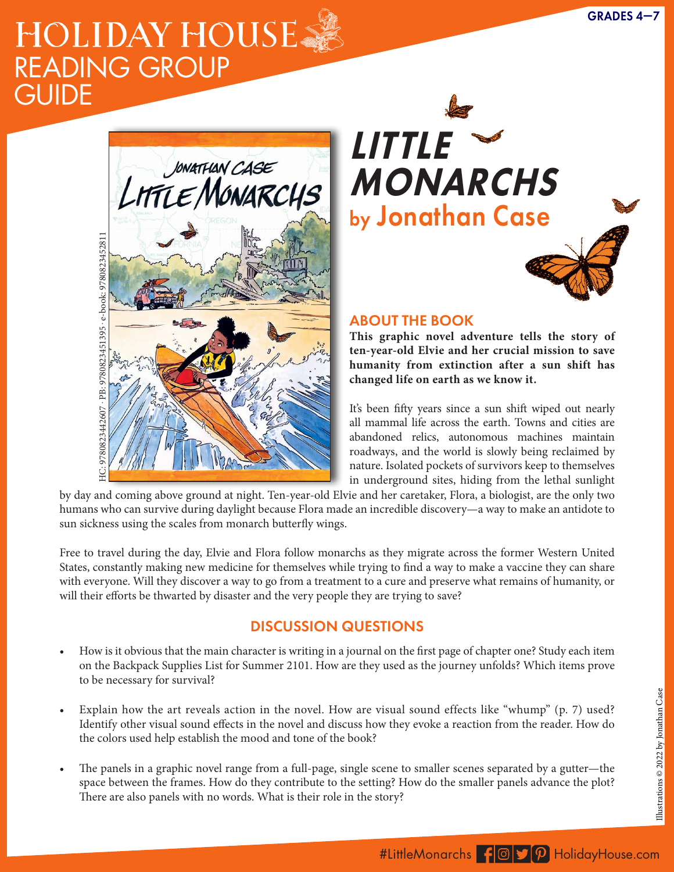## HOLIDAY HOUSE READING GROUP **GUIDE**



A JUNIOR LIBRARY GUILD GOLD STANDARD SELECTION

**—Vera Brosgol, Caldecott Honoree for** *Leave Me Alone!* **and Eisner winner for** *Anya's Ghost* **"***Little Monarchs* **is gorgeous in every way. It's an amazingly generous work full of beautifully inked watercolor artwork, hilariously genuine characters, unexpected twists, real emotional sincerity, survival tips, nature facts, and even a recipe for blackberry pie." —Patrick McHale, Emmy Award-winning creator of** *Over the Garden Wall* **and writer/director for** *Adventure Time* **"This book is PHENOMENAL. Jonathan Case has brought to life a post-civilization world that's as wondrous as it is tragic, immersive and fascinating. His is a unique voice, daunting yet inspiring for other comics creatives. Take** *Little Monarchs* **home—you will love it." —Jeff Parker, writer of** *X-Men: First Class, Spider-Man,* **and** *Batman '66*



## **ABOUT THE BOOK**

This graphic novel adventure tells the story of ten-year-old Elvie and her crucial mission to save **they're trying to save? humanity from extinction after a sun shift has**  changed life on earth as we know it. and compass headings that mark their route. They

It's been fifty years since a sun shift wiped out nearly all mammal life across the earth. Towns and cities are abandoned relics, autonomous machines maintain roadways, and the world is slowly being reclaimed by nature. Isolated pockets of survivors keep to themselves in underground sites, hiding from the lethal sunlight

by day and coming above ground at night. Ten-year-old Elvie and her caretaker, Flora, a biologist, are the only two humans who can survive during daylight because Flora made an incredible discovery—a way to make an antidote to sun sickness using the scales from monarch butterfly wings.

> Free to travel during the day, Elvie and Flora follow monarchs as they migrate across the former Western United States, constantly making new medicine for themselves while trying to find a way to make a vaccine they can share with everyone. Will they discover a way to go from a treatment to a cure and preserve what remains of humanity, or will their efforts be thwarted by disaster and the very people they are trying to save?

## DISCUSSION QUESTIONS

- How is it obvious that the main character is writing in a journal on the first page of chapter one? Study each item on the Backpack Supplies List for Summer 2101. How are they used as the journey unfolds? Which items prove to be necessary for survival?
- Explain how the art reveals action in the novel. How are visual sound effects like "whump" (p. 7) used? Identify other visual sound effects in the novel and discuss how they evoke a reaction from the reader. How do the colors used help establish the mood and tone of the book?
- The panels in a graphic novel range from a full-page, single scene to smaller scenes separated by a gutter—the space between the frames. How do they contribute to the setting? How do the smaller panels advance the plot? There are also panels with no words. What is their role in the story?